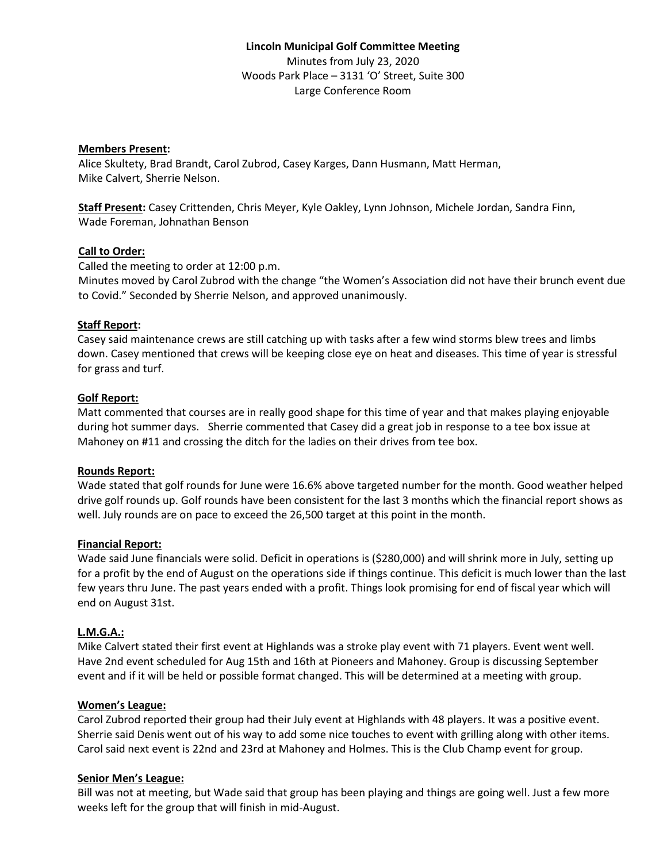## **Members Present:**

Alice Skultety, Brad Brandt, Carol Zubrod, Casey Karges, Dann Husmann, Matt Herman, Mike Calvert, Sherrie Nelson.

**Staff Present:** Casey Crittenden, Chris Meyer, Kyle Oakley, Lynn Johnson, Michele Jordan, Sandra Finn, Wade Foreman, Johnathan Benson

## **Call to Order:**

Called the meeting to order at 12:00 p.m. Minutes moved by Carol Zubrod with the change "the Women's Association did not have their brunch event due to Covid." Seconded by Sherrie Nelson, and approved unanimously.

## **Staff Report:**

Casey said maintenance crews are still catching up with tasks after a few wind storms blew trees and limbs down. Casey mentioned that crews will be keeping close eye on heat and diseases. This time of year is stressful for grass and turf.

## **Golf Report:**

Matt commented that courses are in really good shape for this time of year and that makes playing enjoyable during hot summer days. Sherrie commented that Casey did a great job in response to a tee box issue at Mahoney on #11 and crossing the ditch for the ladies on their drives from tee box.

### **Rounds Report:**

Wade stated that golf rounds for June were 16.6% above targeted number for the month. Good weather helped drive golf rounds up. Golf rounds have been consistent for the last 3 months which the financial report shows as well. July rounds are on pace to exceed the 26,500 target at this point in the month.

### **Financial Report:**

Wade said June financials were solid. Deficit in operations is (\$280,000) and will shrink more in July, setting up for a profit by the end of August on the operations side if things continue. This deficit is much lower than the last few years thru June. The past years ended with a profit. Things look promising for end of fiscal year which will end on August 31st.

# **L.M.G.A.:**

Mike Calvert stated their first event at Highlands was a stroke play event with 71 players. Event went well. Have 2nd event scheduled for Aug 15th and 16th at Pioneers and Mahoney. Group is discussing September event and if it will be held or possible format changed. This will be determined at a meeting with group.

### **Women's League:**

Carol Zubrod reported their group had their July event at Highlands with 48 players. It was a positive event. Sherrie said Denis went out of his way to add some nice touches to event with grilling along with other items. Carol said next event is 22nd and 23rd at Mahoney and Holmes. This is the Club Champ event for group.

### **Senior Men's League:**

Bill was not at meeting, but Wade said that group has been playing and things are going well. Just a few more weeks left for the group that will finish in mid-August.